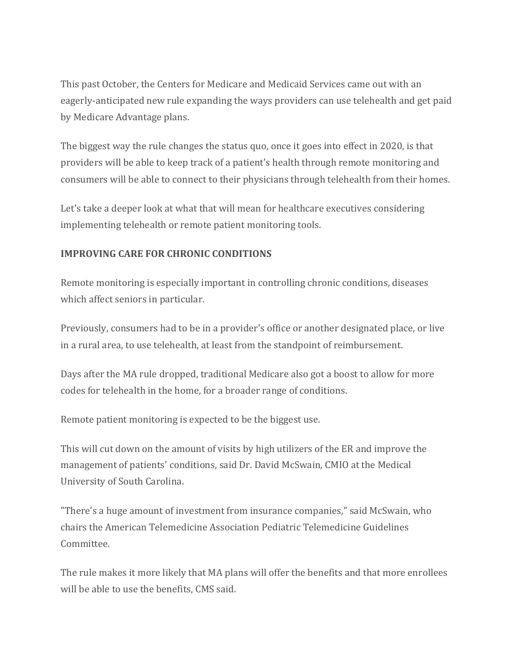This past October, the Centers for Medicare and Medicaid Services came out with an eagerly-anticipated new rule expanding the ways providers can use telehealth and get paid by Medicare Advantage plans.

The biggest way the rule changes the status quo, once it goes into effect in 2020, is that providers will be able to keep track of a patient's health through remote monitoring and consumers will be able to connect to their physicians through telehealth from their homes.

Let's take a deeper look at what that will mean for healthcare executives considering implementing telehealth or remote patient monitoring tools.

## **IMPROVING CARE FOR CHRONIC CONDITIONS**

Remote monitoring is especially important in controlling chronic conditions, diseases which affect seniors in particular.

Previously, consumers had to be in a provider's office or another designated place, or live in a rural area, to use telehealth, at least from the standpoint of reimbursement.

Days after the MA rule dropped, traditional Medicare also got a boost to allow for more codes for telehealth in the home, for a broader range of conditions.

Remote patient monitoring is expected to be the biggest use.

This will cut down on the amount of visits by high utilizers of the ER and improve the management of patients' conditions, said Dr. David McSwain, CMIO at the Medical University of South Carolina.

"There's a huge amount of investment from insurance companies," said McSwain, who chairs the American Telemedicine Association Pediatric Telemedicine Guidelines Committee.

The rule makes it more likely that MA plans will offer the benefits and that more enrollees will be able to use the benefits, CMS said.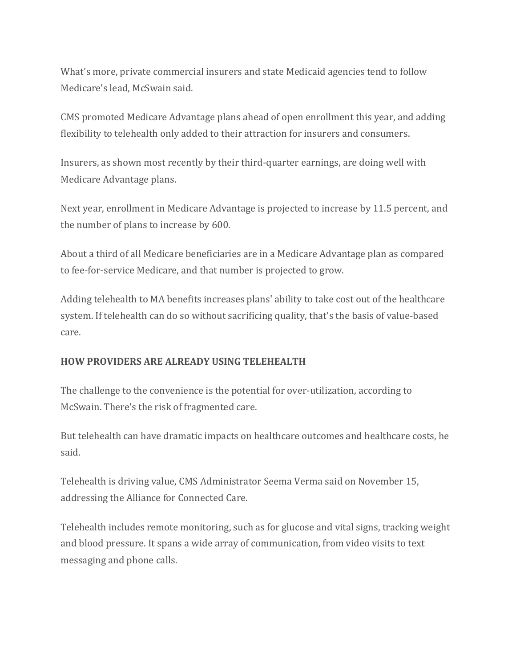What's more, private commercial insurers and state Medicaid agencies tend to follow Medicare's lead, McSwain said.

CMS promoted Medicare Advantage plans ahead of open enrollment this year, and adding flexibility to telehealth only added to their attraction for insurers and consumers.

Insurers, as shown most recently by their third-quarter earnings, are doing well with Medicare Advantage plans.

Next year, enrollment in Medicare Advantage is projected to increase by 11.5 percent, and the number of plans to increase by 600.

About a third of all Medicare beneficiaries are in a Medicare Advantage plan as compared to fee-for-service Medicare, and that number is projected to grow.

Adding telehealth to MA benefits increases plans' ability to take cost out of the healthcare system. If telehealth can do so without sacrificing quality, that's the basis of value-based care.

## **HOW PROVIDERS ARE ALREADY USING TELEHEALTH**

The challenge to the convenience is the potential for over-utilization, according to McSwain. There's the risk of fragmented care.

But telehealth can have dramatic impacts on healthcare outcomes and healthcare costs, he said.

Telehealth is driving value, CMS Administrator Seema Verma said on November 15, addressing the Alliance for Connected Care.

Telehealth includes remote monitoring, such as for glucose and vital signs, tracking weight and blood pressure. It spans a wide array of communication, from video visits to text messaging and phone calls.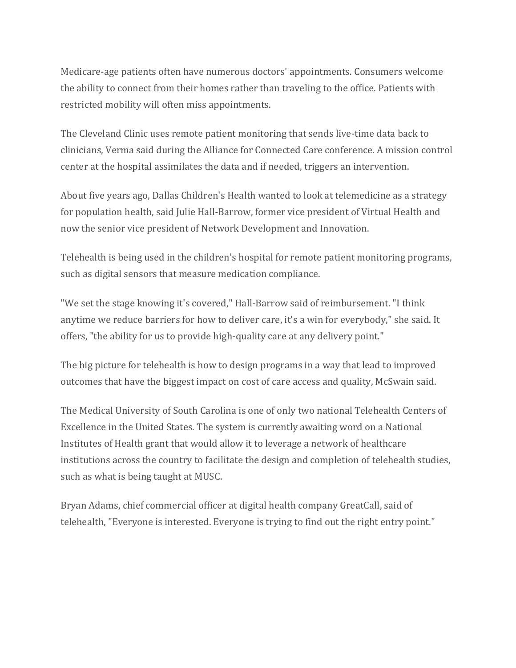Medicare-age patients often have numerous doctors' appointments. Consumers welcome the ability to connect from their homes rather than traveling to the office. Patients with restricted mobility will often miss appointments.

The Cleveland Clinic uses remote patient monitoring that sends live-time data back to clinicians, Verma said during the Alliance for Connected Care conference. A mission control center at the hospital assimilates the data and if needed, triggers an intervention.

About five years ago, Dallas Children's Health wanted to look at telemedicine as a strategy for population health, said Julie Hall-Barrow, former vice president of Virtual Health and now the senior vice president of Network Development and Innovation.

Telehealth is being used in the children's hospital for remote patient monitoring programs, such as digital sensors that measure medication compliance.

"We set the stage knowing it's covered," Hall-Barrow said of reimbursement. "I think anytime we reduce barriers for how to deliver care, it's a win for everybody," she said. It offers, "the ability for us to provide high-quality care at any delivery point."

The big picture for telehealth is how to design programs in a way that lead to improved outcomes that have the biggest impact on cost of care access and quality, McSwain said.

The Medical University of South Carolina is one of only two national Telehealth Centers of Excellence in the United States. The system is currently awaiting word on a National Institutes of Health grant that would allow it to leverage a network of healthcare institutions across the country to facilitate the design and completion of telehealth studies, such as what is being taught at MUSC.

Bryan Adams, chief commercial officer at digital health company GreatCall, said of telehealth, "Everyone is interested. Everyone is trying to find out the right entry point."